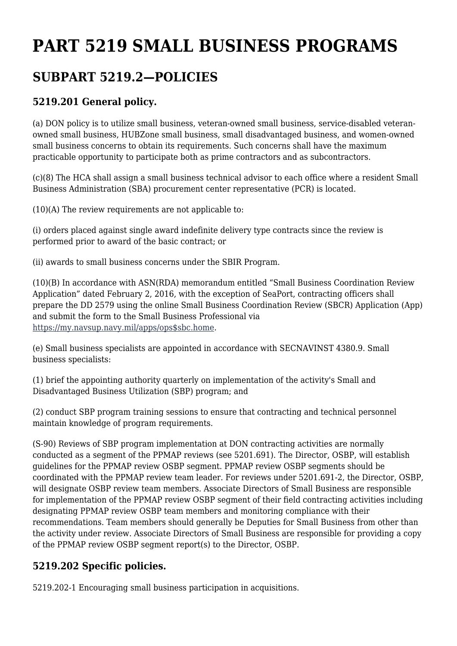# **PART 5219 SMALL BUSINESS PROGRAMS**

# **SUBPART 5219.2—POLICIES**

### **5219.201 General policy.**

(a) DON policy is to utilize small business, veteran-owned small business, service-disabled veteranowned small business, HUBZone small business, small disadvantaged business, and women-owned small business concerns to obtain its requirements. Such concerns shall have the maximum practicable opportunity to participate both as prime contractors and as subcontractors.

(c)(8) The HCA shall assign a small business technical advisor to each office where a resident Small Business Administration (SBA) procurement center representative (PCR) is located.

(10)(A) The review requirements are not applicable to:

(i) orders placed against single award indefinite delivery type contracts since the review is performed prior to award of the basic contract; or

(ii) awards to small business concerns under the SBIR Program.

(10)(B) In accordance with ASN(RDA) memorandum entitled "Small Business Coordination Review Application" dated February 2, 2016, with the exception of SeaPort, contracting officers shall prepare the DD 2579 using the online Small Business Coordination Review (SBCR) Application (App) and submit the form to the Small Business Professional via [https://my.navsup.navy.mil/apps/ops\\$sbc.home](https://my.navsup.navy.mil/apps/ops%24sbc.home).

(e) Small business specialists are appointed in accordance with SECNAVINST 4380.9. Small business specialists:

(1) brief the appointing authority quarterly on implementation of the activity's Small and Disadvantaged Business Utilization (SBP) program; and

(2) conduct SBP program training sessions to ensure that contracting and technical personnel maintain knowledge of program requirements.

(S-90) Reviews of SBP program implementation at DON contracting activities are normally conducted as a segment of the PPMAP reviews (see 5201.691). The Director, OSBP, will establish guidelines for the PPMAP review OSBP segment. PPMAP review OSBP segments should be coordinated with the PPMAP review team leader. For reviews under 5201.691-2, the Director, OSBP, will designate OSBP review team members. Associate Directors of Small Business are responsible for implementation of the PPMAP review OSBP segment of their field contracting activities including designating PPMAP review OSBP team members and monitoring compliance with their recommendations. Team members should generally be Deputies for Small Business from other than the activity under review. Associate Directors of Small Business are responsible for providing a copy of the PPMAP review OSBP segment report(s) to the Director, OSBP.

#### **5219.202 Specific policies.**

5219.202-1 Encouraging small business participation in acquisitions.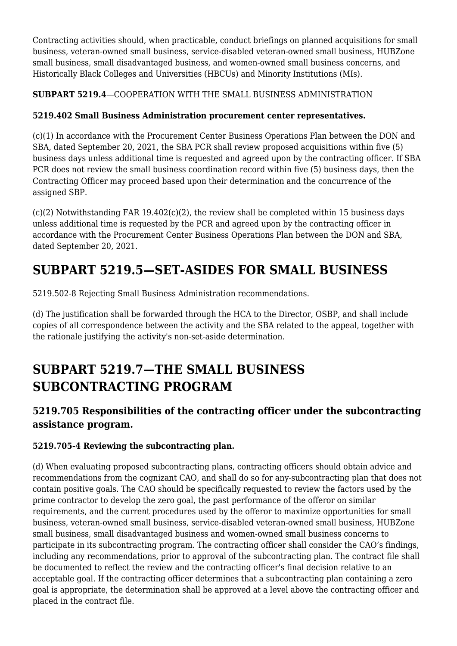Contracting activities should, when practicable, conduct briefings on planned acquisitions for small business, veteran-owned small business, service-disabled veteran-owned small business, HUBZone small business, small disadvantaged business, and women-owned small business concerns, and Historically Black Colleges and Universities (HBCUs) and Minority Institutions (MIs).

**SUBPART 5219.4**—COOPERATION WITH THE SMALL BUSINESS ADMINISTRATION

#### **5219.402 Small Business Administration procurement center representatives.**

(c)(1) In accordance with the Procurement Center Business Operations Plan between the DON and SBA, dated September 20, 2021, the SBA PCR shall review proposed acquisitions within five (5) business days unless additional time is requested and agreed upon by the contracting officer. If SBA PCR does not review the small business coordination record within five (5) business days, then the Contracting Officer may proceed based upon their determination and the concurrence of the assigned SBP.

(c)(2) Notwithstanding FAR 19.402(c)(2), the review shall be completed within 15 business days unless additional time is requested by the PCR and agreed upon by the contracting officer in accordance with the Procurement Center Business Operations Plan between the DON and SBA, dated September 20, 2021.

# **SUBPART 5219.5—SET-ASIDES FOR SMALL BUSINESS**

5219.502-8 Rejecting Small Business Administration recommendations.

(d) The justification shall be forwarded through the HCA to the Director, OSBP, and shall include copies of all correspondence between the activity and the SBA related to the appeal, together with the rationale justifying the activity's non-set-aside determination.

# **SUBPART 5219.7—THE SMALL BUSINESS SUBCONTRACTING PROGRAM**

### **5219.705 Responsibilities of the contracting officer under the subcontracting assistance program.**

#### **5219.705‑4 Reviewing the subcontracting plan.**

(d) When evaluating proposed subcontracting plans, contracting officers should obtain advice and recommendations from the cognizant CAO, and shall do so for any subcontracting plan that does not contain positive goals. The CAO should be specifically requested to review the factors used by the prime contractor to develop the zero goal, the past performance of the offeror on similar requirements, and the current procedures used by the offeror to maximize opportunities for small business, veteran-owned small business, service-disabled veteran-owned small business, HUBZone small business, small disadvantaged business and women-owned small business concerns to participate in its subcontracting program. The contracting officer shall consider the CAO's findings, including any recommendations, prior to approval of the subcontracting plan. The contract file shall be documented to reflect the review and the contracting officer's final decision relative to an acceptable goal. If the contracting officer determines that a subcontracting plan containing a zero goal is appropriate, the determination shall be approved at a level above the contracting officer and placed in the contract file.